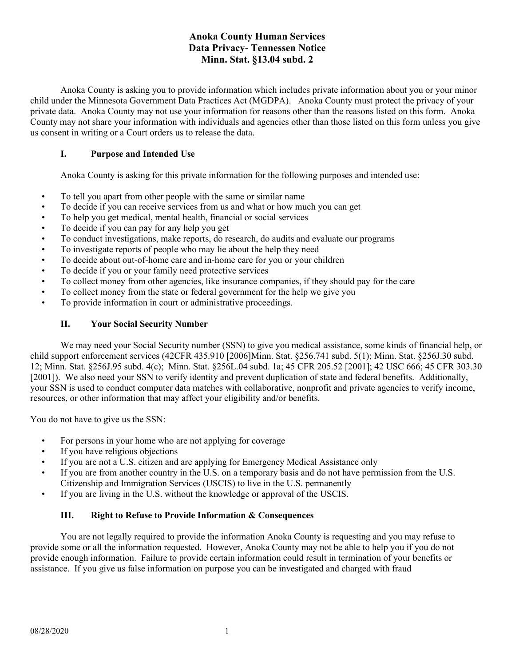# **Anoka County Human Services Data Privacy- Tennessen Notice Minn. Stat. §13.04 subd. 2**

Anoka County is asking you to provide information which includes private information about you or your minor child under the Minnesota Government Data Practices Act (MGDPA). Anoka County must protect the privacy of your private data. Anoka County may not use your information for reasons other than the reasons listed on this form. Anoka County may not share your information with individuals and agencies other than those listed on this form unless you give us consent in writing or a Court orders us to release the data.

#### **I. Purpose and Intended Use**

Anoka County is asking for this private information for the following purposes and intended use:

- To tell you apart from other people with the same or similar name
- To decide if you can receive services from us and what or how much you can get
- To help you get medical, mental health, financial or social services
- To decide if you can pay for any help you get
- To conduct investigations, make reports, do research, do audits and evaluate our programs
- To investigate reports of people who may lie about the help they need
- To decide about out-of-home care and in-home care for you or your children
- To decide if you or your family need protective services
- To collect money from other agencies, like insurance companies, if they should pay for the care
- To collect money from the state or federal government for the help we give you
- To provide information in court or administrative proceedings.

## **II. Your Social Security Number**

We may need your Social Security number (SSN) to give you medical assistance, some kinds of financial help, or child support enforcement services (42CFR 435.910 [2006]Minn. Stat. §256.741 subd. 5(1); Minn. Stat. §256J.30 subd. 12; Minn. Stat. §256J.95 subd. 4(c); Minn. Stat. §256L.04 subd. 1a; 45 CFR 205.52 [2001]; 42 USC 666; 45 CFR 303.30 [2001]). We also need your SSN to verify identity and prevent duplication of state and federal benefits. Additionally, your SSN is used to conduct computer data matches with collaborative, nonprofit and private agencies to verify income, resources, or other information that may affect your eligibility and/or benefits.

You do not have to give us the SSN:

- For persons in your home who are not applying for coverage
- If you have religious objections
- If you are not a U.S. citizen and are applying for Emergency Medical Assistance only
- If you are from another country in the U.S. on a temporary basis and do not have permission from the U.S. Citizenship and Immigration Services (USCIS) to live in the U.S. permanently
- If you are living in the U.S. without the knowledge or approval of the USCIS.

#### **III. Right to Refuse to Provide Information & Consequences**

You are not legally required to provide the information Anoka County is requesting and you may refuse to provide some or all the information requested. However, Anoka County may not be able to help you if you do not provide enough information. Failure to provide certain information could result in termination of your benefits or assistance. If you give us false information on purpose you can be investigated and charged with fraud